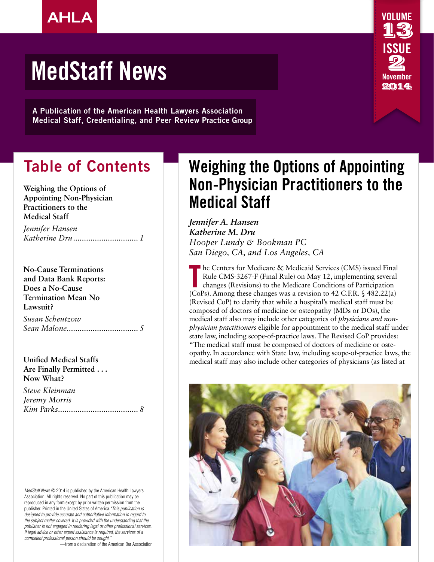

A Publication of the American Health Lawyers Association Medical Staff, Credentialing, and Peer Review Practice Group

### Table of Contents

**Weighing the Options of Appointing Non-Physician Practitioners to the Medical Staff**

*Jennifer Hansen Katherine Dru.............................. 1*

**No-Cause Terminations and Data Bank Reports: Does a No-Cause Termination Mean No Lawsuit?** *Susan Scheutzow Sean Malone................................. 5*

**Unified Medical Staffs Are Finally Permitted . . . Now What?**

*Steve Kleinman Jeremy Morris Kim Parks..................................... 8*

*MedStaff News* © 2014 is published by the American Health Lawyers Association. All rights reserved. No part of this publication may be reproduced in any form except by prior written permission from the publisher. Printed in the United States of America.*"This publication is designed to provide accurate and authoritative information in regard to the subject matter covered. It is provided with the understanding that the publisher is not engaged in rendering legal or other professional services. If legal advice or other expert assistance is required, the services of a competent professional person should be sought."* 

—from a declaration of the American Bar Association

### Weighing the Options of Appointing Non-Physician Practitioners to the Medical Staff

VOLUME

13

ISSUE

2 November 2014

*Jennifer A. Hansen Katherine M. Dru Hooper Lundy & Bookman PC San Diego, CA, and Los Angeles, CA*

The Centers for Medicare & Medicaid Services (CMS) issued Final<br>Rule CMS-3267-F (Final Rule) on May 12, implementing several<br>changes (Revisions) to the Medicare Conditions of Participation<br>(CoPs). Among these changes was a he Centers for Medicare & Medicaid Services (CMS) issued Final Rule CMS-3267-F (Final Rule) on May 12, implementing several changes (Revisions) to the Medicare Conditions of Participation (Revised CoP) to clarify that while a hospital's medical staff must be composed of doctors of medicine or osteopathy (MDs or DOs), the medical staff also may include other categories of *physicians and nonphysician practitioners* eligible for appointment to the medical staff under state law, including scope-of-practice laws. The Revised CoP provides: "The medical staff must be composed of doctors of medicine or osteopathy. In accordance with State law, including scope-of-practice laws, the medical staff may also include other categories of physicians (as listed at

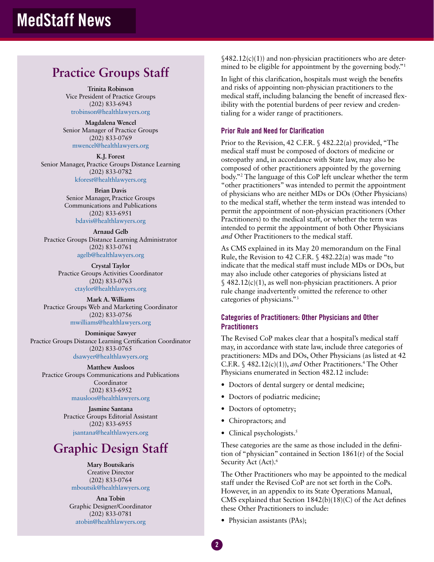### **Practice Groups Staff**

**Trinita Robinson** Vice President of Practice Groups (202) 833-6943 trobinson@healthlawyers.org

**Magdalena Wencel** Senior Manager of Practice Groups (202) 833-0769 mwencel@healthlawyers.org

**K.J. Forest** Senior Manager, Practice Groups Distance Learning (202) 833-0782 kforest@healthlawyers.org

> **Brian Davis** Senior Manager, Practice Groups Communications and Publications (202) 833-6951 bdavis@healthlawyers.org

**Arnaud Gelb** Practice Groups Distance Learning Administrator (202) 833-0761 agelb@healthlawyers.org

> **Crystal Taylor** Practice Groups Activities Coordinator (202) 833-0763 ctaylor@healthlawyers.org

**Mark A. Williams** Practice Groups Web and Marketing Coordinator (202) 833-0756 mwilliams@healthlawyers.org

**Dominique Sawyer**  Practice Groups Distance Learning Certification Coordinator (202) 833-0765 dsawyer@healthlawyers.org

**Matthew Ausloos**  Practice Groups Communications and Publications Coordinator (202) 833-6952 mausloos@healthlawyers.org

> **Jasmine Santana** Practice Groups Editorial Assistant (202) 833-6955 jsantana@healthlawyers.org

### **Graphic Design Staff**

**Mary Boutsikaris** Creative Director (202) 833-0764 mboutsik@healthlawyers.org

**Ana Tobin** Graphic Designer/Coordinator (202) 833-0781 atobin@healthlawyers.org

§482.12(c)(1)) and non-physician practitioners who are determined to be eligible for appointment by the governing body."1

In light of this clarification, hospitals must weigh the benefits and risks of appointing non-physician practitioners to the medical staff, including balancing the benefit of increased flexibility with the potential burdens of peer review and credentialing for a wider range of practitioners.

#### Prior Rule and Need for Clarification

Prior to the Revision, 42 C.F.R. § 482.22(a) provided, "The medical staff must be composed of doctors of medicine or osteopathy and, in accordance with State law, may also be composed of other practitioners appointed by the governing body."2 The language of this CoP left unclear whether the term "other practitioners" was intended to permit the appointment of physicians who are neither MDs or DOs (Other Physicians) to the medical staff, whether the term instead was intended to permit the appointment of non-physician practitioners (Other Practitioners) to the medical staff, or whether the term was intended to permit the appointment of both Other Physicians *and* Other Practitioners to the medical staff.

As CMS explained in its May 20 memorandum on the Final Rule, the Revision to 42 C.F.R. § 482.22(a) was made "to indicate that the medical staff must include MDs or DOs, but may also include other categories of physicians listed at  $\{(482.12(c)(1),$  as well non-physician practitioners. A prior rule change inadvertently omitted the reference to other categories of physicians."3

#### Categories of Practitioners: Other Physicians and Other **Practitioners**

The Revised CoP makes clear that a hospital's medical staff may, in accordance with state law, include three categories of practitioners: MDs and DOs, Other Physicians (as listed at 42 C.F.R.  $\frac{6}{3}$  482.12(c)(1)), *and* Other Practitioners.<sup>4</sup> The Other Physicians enumerated in Section 482.12 include:

- Doctors of dental surgery or dental medicine;
- Doctors of podiatric medicine;
- Doctors of optometry;
- Chiropractors; and
- Clinical psychologists.<sup>5</sup>

These categories are the same as those included in the definition of "physician" contained in Section 1861(r) of the Social Security Act (Act).<sup>6</sup>

The Other Practitioners who may be appointed to the medical staff under the Revised CoP are not set forth in the CoPs. However, in an appendix to its State Operations Manual, CMS explained that Section 1842(b)(18)(C) of the Act defines these Other Practitioners to include:

• Physician assistants (PAs);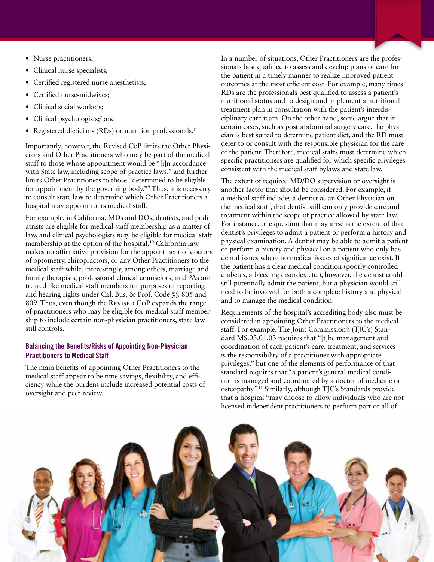- Nurse practitioners;
- Clinical nurse specialists;
- Certified registered nurse anesthetists;
- Certified nurse-midwives;
- Clinical social workers;
- Clinical psychologists;<sup>7</sup> and
- Registered dieticians (RDs) or nutrition professionals.<sup>8</sup>

Importantly, however, the Revised CoP limits the Other Physicians and Other Practitioners who may be part of the medical staff to those whose appointment would be "[i]n accordance with State law, including scope-of-practice laws," and further limits Other Practitioners to those "determined to be eligible for appointment by the governing body."9 Thus, it is necessary to consult state law to determine which Other Practitioners a hospital may appoint to its medical staff.

For example, in California, MDs and DOs, dentists, and podiatrists are eligible for medical staff membership as a matter of law, and clinical psychologists *may* be eligible for medical staff membership at the option of the hospital.<sup>10</sup> California law makes no affirmative provision for the appointment of doctors of optometry, chiropractors, or any Other Practitioners to the medical staff while, interestingly, among others, marriage and family therapists, professional clinical counselors, and PAs are treated like medical staff members for purposes of reporting and hearing rights under Cal. Bus. & Prof. Code §§ 805 and 809. Thus, even though the REVISED CoP expands the range of practitioners who may be eligible for medical staff membership to include certain non-physician practitioners, state law still controls.

#### Balancing the Benefits/Risks of Appointing Non-Physician Practitioners to Medical Staff

The main benefits of appointing Other Practitioners to the medical staff appear to be time savings, flexibility, and efficiency while the burdens include increased potential costs of oversight and peer review.

In a number of situations, Other Practitioners are the professionals best qualified to assess and develop plans of care for the patient in a timely manner to realize improved patient outcomes at the most efficient cost. For example, many times RDs are the professionals best qualified to assess a patient's nutritional status and to design and implement a nutritional treatment plan in consultation with the patient's interdisciplinary care team. On the other hand, some argue that in certain cases, such as post-abdominal surgery care, the physician is best suited to determine patient diet, and the RD must defer to or consult with the responsible physician for the care of the patient. Therefore, medical staffs must determine which specific practitioners are qualified for which specific privileges consistent with the medical staff bylaws and state law.

The extent of required MD/DO supervision or oversight is another factor that should be considered. For example, if a medical staff includes a dentist as an Other Physician on the medical staff, that dentist still can only provide care and treatment within the scope of practice allowed by state law. For instance, one question that may arise is the extent of that dentist's privileges to admit a patient or perform a history and physical examination. A dentist may be able to admit a patient or perform a history and physical on a patient who only has dental issues where no medical issues of significance exist. If the patient has a clear medical condition (poorly controlled diabetes, a bleeding disorder, etc.), however, the dentist could still potentially admit the patient, but a physician would still need to be involved for both a complete history and physical and to manage the medical condition.

Requirements of the hospital's accrediting body also must be considered in appointing Other Practitioners to the medical staff. For example, The Joint Commission's (TJC's) Standard MS.03.01.03 requires that "[t]he management and coordination of each patient's care, treatment, and services is the responsibility of a practitioner with appropriate privileges," but one of the elements of performance of that standard requires that "a patient's general medical condition is managed and coordinated by a doctor of medicine or osteopathy."11 Similarly, although TJC's Standards provide that a hospital "may choose to allow individuals who are not licensed independent practitioners to perform part or all of

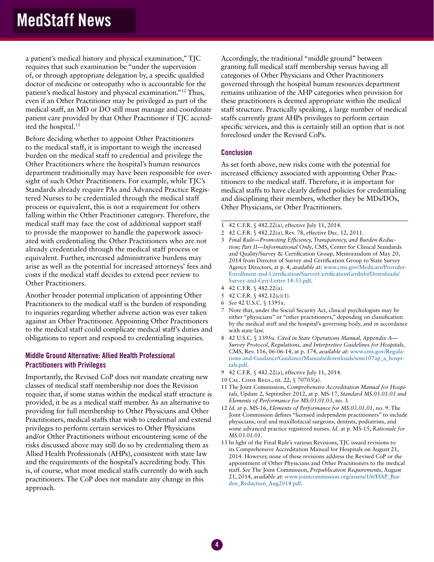a patient's medical history and physical examination," TJC requires that such examination be "under the supervision of, or through appropriate delegation by, a specific qualified doctor of medicine or osteopathy who is accountable for the patient's medical history and physical examination."12 Thus, even if an Other Practitioner may be privileged as part of the medical staff, an MD or DO still must manage and coordinate patient care provided by that Other Practitioner if TJC accredited the hospital.<sup>13</sup>

Before deciding whether to appoint Other Practitioners to the medical staff, it is important to weigh the increased burden on the medical staff to credential and privilege the Other Practitioners where the hospital's human resources department traditionally may have been responsible for oversight of such Other Practitioners. For example, while TJC's Standards already require PAs and Advanced Practice Registered Nurses to be credentialed through the medical staff process or equivalent, this is not a requirement for others falling within the Other Practitioner category. Therefore, the medical staff may face the cost of additional support staff to provide the manpower to handle the paperwork associated with credentialing the Other Practitioners who are not already credentialed through the medical staff process or equivalent. Further, increased administrative burdens may arise as well as the potential for increased attorneys' fees and costs if the medical staff decides to extend peer review to Other Practitioners.

Another broader potential implication of appointing Other Practitioners to the medical staff is the burden of responding to inquiries regarding whether adverse action was ever taken against an Other Practitioner. Appointing Other Practitioners to the medical staff could complicate medical staff's duties and obligations to report and respond to credentialing inquiries.

#### Middle Ground Alternative: Allied Health Professional Practitioners with Privileges

Importantly, the Revised CoP does not mandate creating new classes of medical staff membership nor does the Revision require that, if some status within the medical staff structure is provided, it be as a medical staff member. As an alternative to providing for full membership to Other Physicians and Other Practitioners, medical staffs that wish to credential and extend privileges to perform certain services to Other Physicians and/or Other Practitioners without encountering some of the risks discussed above may still do so by credentialing them as Allied Health Professionals (AHPs), consistent with state law and the requirements of the hospital's accrediting body. This is, of course, what most medical staffs currently do with such practitioners. The CoP does not mandate any change in this approach.

Accordingly, the traditional "middle ground" between granting full medical staff membership versus having all categories of Other Physicians and Other Practitioners governed through the hospital human resources department remains utilization of the AHP categories when provision for these practitioners is deemed appropriate within the medical staff structure. Practically speaking, a large number of medical staffs currently grant AHPs privileges to perform certain specific services, and this is certainly still an option that is not foreclosed under the Revised CoPs.

#### **Conclusion**

As set forth above, new risks come with the potential for increased efficiency associated with appointing Other Practitioners to the medical staff. Therefore, it is important for medical staffs to have clearly defined policies for credentialing and disciplining their members, whether they be MDs/DOs, Other Physicians, or Other Practitioners.

- 2 42 C.F.R. § 482.22(a), Rev. 78, effective Dec. 12, 2011.
- 3 *Final Rule—Promoting Efficiency, Transparency, and Burden Reduction; Part II—Informational Only*, CMS, Center for Clinical Standards and Quality/Survey & Certification Group, Memorandum of May 20, 2014 from Director of Survey and Certification Group to State Survey Agency Directors, at p. 4, *available at:* www.cms.gov/Medicare/Provider-Enrollment-and-Certification/SurveyCertificationGenInfo/Downloads/ Survey-and-Cert-Letter-14-33.pdf.
- 4 42 C.F.R. § 482.22(a).
- 5 42 C.F.R. § 482.12(c)(1).
- 6 *See* 42 U.S.C. § 1395x.

4

- Note that, under the Social Security Act, clinical psychologists may be either "physicians" or "other practitioners," depending on classification by the medical staff and the hospital's governing body, and in accordance with state law.
- 8 42 U.S.C. § 1395u. *Cited in State Operations Manual, Appendix A— Survey Protocol, Regulations, and Interpretive Guidelines for Hospitals,*  CMS, Rev. 116, 06-06-14, at p. 174, *available at*: www.cms.gov/Regulations-and-Guidance/Guidance/Manuals/downloads/som107ap\_a\_hospitals.pdf.
- 9 42 C.F.R. § 482.22(a), effective July 11, 2014.
- 10 Cal. Code Regs., tit. 22, § 70703(a).
- 11 The Joint Commission, *Comprehensive Accreditation Manual for Hospitals,* Update 2, September 2012, at p. MS-17, *Standard MS.03.01.03* and *Elements of Performance for MS.03.01.03*, no. 3.
- 12 *Id.* at p. MS-16, *Elements of Performance for MS.03.01.01,* no. 9. The Joint Commission defines "licensed independent practitioners" to include physicians, oral and maxillofacial surgeons, dentists, podiatrists, and some advanced practice registered nurses. *Id.* at p. MS-15, *Rationale for MS.03.01.01*.
- 13 In light of the Final Rule's various Revisions, TJC issued revisions to its Comprehensive Accreditation Manual for Hospitals on August 21, 2014. However, none of these revisions address the Revised CoP or the appointment of Other Physicians and Other Practitioners to the medical staff. *See* The Joint Commission, *Prepublication Requirements*, August 21, 2014, *available at*: www.jointcommission.org/assets/1/6/HAP\_Burden Reduction Aug2014.pdf.

<sup>1</sup> 42 C.F.R. § 482.22(a), effective July 11, 2014.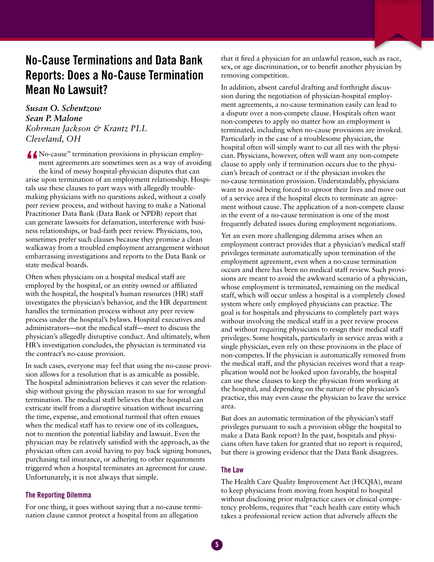### No-Cause Terminations and Data Bank Reports: Does a No-Cause Termination Mean No Lawsuit?

*Susan O. Scheutzow Sean P. Malone Kohrman Jackson & Krantz PLL Cleveland, OH*

K No-cause" termination provisions in physician employ-<br>ment agreements are sometimes seen as a way of avoiding<br>the kind of messy hospital-physician disputes that can<br>agree when termination of an amplement relationship. Ho ment agreements are sometimes seen as a way of avoiding the kind of messy hospital-physician disputes that can arise upon termination of an employment relationship. Hospitals use these clauses to part ways with allegedly troublemaking physicians with no questions asked, without a costly peer review process, and without having to make a National Practitioner Data Bank (Data Bank or NPDB) report that can generate lawsuits for defamation, interference with business relationships, or bad-faith peer review. Physicians, too, sometimes prefer such clauses because they promise a clean walkaway from a troubled employment arrangement without embarrassing investigations and reports to the Data Bank or state medical boards.

Often when physicians on a hospital medical staff are employed by the hospital, or an entity owned or affiliated with the hospital, the hospital's human resources (HR) staff investigates the physician's behavior, and the HR department handles the termination process without any peer review process under the hospital's bylaws. Hospital executives and administrators—not the medical staff—meet to discuss the physician's allegedly disruptive conduct. And ultimately, when HR's investigation concludes, the physician is terminated via the contract's no-cause provision.

In such cases, everyone may feel that using the no-cause provision allows for a resolution that is as amicable as possible. The hospital administration believes it can sever the relationship without giving the physician reason to sue for wrongful termination. The medical staff believes that the hospital can extricate itself from a disruptive situation without incurring the time, expense, and emotional turmoil that often ensues when the medical staff has to review one of its colleagues, not to mention the potential liability and lawsuit. Even the physician may be relatively satisfied with the approach, as the physician often can avoid having to pay back signing bonuses, purchasing tail insurance, or adhering to other requirements triggered when a hospital terminates an agreement for cause. Unfortunately, it is not always that simple.

#### The Reporting Dilemma

For one thing, it goes without saying that a no-cause termination clause cannot protect a hospital from an allegation

that it fired a physician for an unlawful reason, such as race, sex, or age discrimination, or to benefit another physician by removing competition.

In addition, absent careful drafting and forthright discussion during the negotiation of physician-hospital employment agreements, a no-cause termination easily can lead to a dispute over a non-compete clause. Hospitals often want non-competes to apply no matter how an employment is terminated, including when no-cause provisions are invoked. Particularly in the case of a troublesome physician, the hospital often will simply want to cut all ties with the physician. Physicians, however, often will want any non-compete clause to apply only if termination occurs due to the physician's breach of contract or if the physician invokes the no-cause termination provision. Understandably, physicians want to avoid being forced to uproot their lives and move out of a service area if the hospital elects to terminate an agreement without cause. The application of a non-compete clause in the event of a no-cause termination is one of the most frequently debated issues during employment negotiations.

Yet an even more challenging dilemma arises when an employment contract provides that a physician's medical staff privileges terminate automatically upon termination of the employment agreement, even when a no-cause termination occurs and there has been no medical staff review. Such provisions are meant to avoid the awkward scenario of a physician, whose employment is terminated, remaining on the medical staff, which will occur unless a hospital is a completely closed system where only employed physicians can practice. The goal is for hospitals and physicians to completely part ways without involving the medical staff in a peer review process and without requiring physicians to resign their medical staff privileges. Some hospitals, particularly in service areas with a single physician, even rely on these provisions in the place of non-competes. If the physician is automatically removed from the medical staff, and the physician receives word that a reapplication would not be looked upon favorably, the hospital can use these clauses to keep the physician from working at the hospital, and depending on the nature of the physician's practice, this may even cause the physician to leave the service area.

But does an automatic termination of the physician's staff privileges pursuant to such a provision oblige the hospital to make a Data Bank report? In the past, hospitals and physicians often have taken for granted that no report is required, but there is growing evidence that the Data Bank disagrees.

#### The Law

The Health Care Quality Improvement Act (HCQIA), meant to keep physicians from moving from hospital to hospital without disclosing prior malpractice cases or clinical competency problems, requires that "each health care entity which takes a professional review action that adversely affects the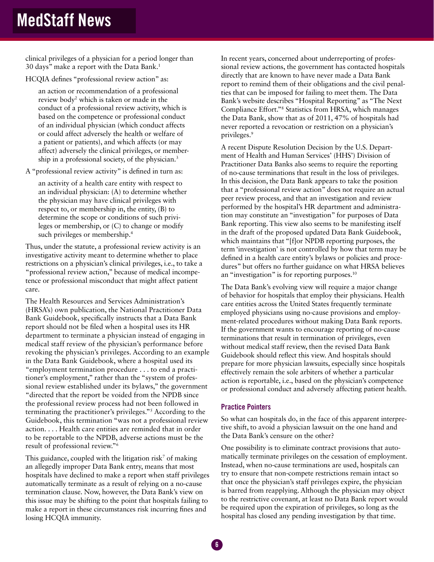clinical privileges of a physician for a period longer than 30 days" make a report with the Data Bank.1

HCQIA defines "professional review action" as:

an action or recommendation of a professional review body<sup>2</sup> which is taken or made in the conduct of a professional review activity, which is based on the competence or professional conduct of an individual physician (which conduct affects or could affect adversely the health or welfare of a patient or patients), and which affects (or may affect) adversely the clinical privileges, or membership in a professional society, of the physician.3

A "professional review activity" is defined in turn as:

an activity of a health care entity with respect to an individual physician: (A) to determine whether the physician may have clinical privileges with respect to, or membership in, the entity, (B) to determine the scope or conditions of such privileges or membership, or (C) to change or modify such privileges or membership.<sup>4</sup>

Thus, under the statute, a professional review activity is an investigative activity meant to determine whether to place restrictions on a physician's clinical privileges, i.e., to take a "professional review action," because of medical incompetence or professional misconduct that might affect patient care.

The Health Resources and Services Administration's (HRSA's) own publication, the National Practitioner Data Bank Guidebook, specifically instructs that a Data Bank report should not be filed when a hospital uses its HR department to terminate a physician instead of engaging in medical staff review of the physician's performance before revoking the physician's privileges. According to an example in the Data Bank Guidebook, where a hospital used its "employment termination procedure . . . to end a practitioner's employment," rather than the "system of professional review established under its bylaws," the government "directed that the report be voided from the NPDB since the professional review process had not been followed in terminating the practitioner's privileges."5 According to the Guidebook, this termination "was not a professional review action. . . . Health care entities are reminded that in order to be reportable to the NPDB, adverse actions must be the result of professional review."6

This guidance, coupled with the litigation risk<sup>7</sup> of making an allegedly improper Data Bank entry, means that most hospitals have declined to make a report when staff privileges automatically terminate as a result of relying on a no-cause termination clause. Now, however, the Data Bank's view on this issue may be shifting to the point that hospitals failing to make a report in these circumstances risk incurring fines and losing HCQIA immunity.

In recent years, concerned about underreporting of professional review actions, the government has contacted hospitals directly that are known to have never made a Data Bank report to remind them of their obligations and the civil penalties that can be imposed for failing to meet them. The Data Bank's website describes "Hospital Reporting" as "The Next Compliance Effort."8 Statistics from HRSA, which manages the Data Bank, show that as of 2011, 47% of hospitals had never reported a revocation or restriction on a physician's privileges.9

A recent Dispute Resolution Decision by the U.S. Department of Health and Human Services' (HHS') Division of Practitioner Data Banks also seems to require the reporting of no-cause terminations that result in the loss of privileges. In this decision, the Data Bank appears to take the position that a "professional review action" does not require an actual peer review process, and that an investigation and review performed by the hospital's HR department and administration may constitute an "investigation" for purposes of Data Bank reporting. This view also seems to be manifesting itself in the draft of the proposed updated Data Bank Guidebook, which maintains that "[f]or NPDB reporting purposes, the term 'investigation' is not controlled by how that term may be defined in a health care entity's bylaws or policies and procedures" but offers no further guidance on what HRSA believes an "investigation" is for reporting purposes. $10$ 

The Data Bank's evolving view will require a major change of behavior for hospitals that employ their physicians. Health care entities across the United States frequently terminate employed physicians using no-cause provisions and employment-related procedures without making Data Bank reports. If the government wants to encourage reporting of no-cause terminations that result in termination of privileges, even without medical staff review, then the revised Data Bank Guidebook should reflect this view. And hospitals should prepare for more physician lawsuits, especially since hospitals effectively remain the sole arbiters of whether a particular action is reportable, i.e., based on the physician's competence or professional conduct and adversely affecting patient health.

#### Practice Pointers

So what can hospitals do, in the face of this apparent interpretive shift, to avoid a physician lawsuit on the one hand and the Data Bank's censure on the other?

One possibility is to eliminate contract provisions that automatically terminate privileges on the cessation of employment. Instead, when no-cause terminations are used, hospitals can try to ensure that non-compete restrictions remain intact so that once the physician's staff privileges expire, the physician is barred from reapplying. Although the physician may object to the restrictive covenant, at least no Data Bank report would be required upon the expiration of privileges, so long as the hospital has closed any pending investigation by that time.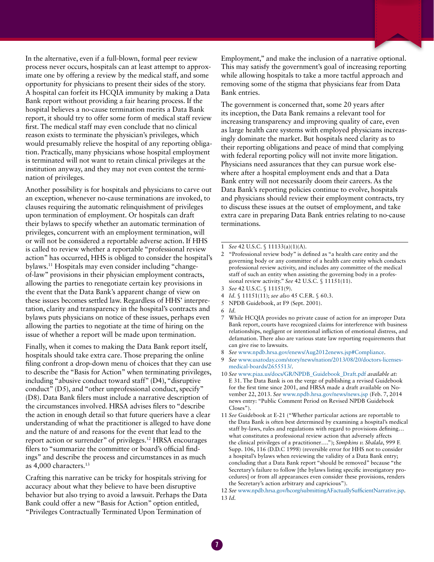In the alternative, even if a full-blown, formal peer review process never occurs, hospitals can at least attempt to approximate one by offering a review by the medical staff, and some opportunity for physicians to present their sides of the story. A hospital can forfeit its HCQIA immunity by making a Data Bank report without providing a fair hearing process. If the hospital believes a no-cause termination merits a Data Bank report, it should try to offer some form of medical staff review first. The medical staff may even conclude that no clinical reason exists to terminate the physician's privileges, which would presumably relieve the hospital of any reporting obligation. Practically, many physicians whose hospital employment is terminated will not want to retain clinical privileges at the institution anyway, and they may not even contest the termination of privileges.

Another possibility is for hospitals and physicians to carve out an exception, whenever no-cause terminations are invoked, to clauses requiring the automatic relinquishment of privileges upon termination of employment. Or hospitals can draft their bylaws to specify whether an automatic termination of privileges, concurrent with an employment termination, will or will not be considered a reportable adverse action. If HHS is called to review whether a reportable "professional review action" has occurred, HHS is obliged to consider the hospital's bylaws.11 Hospitals may even consider including "changeof-law" provisions in their physician employment contracts, allowing the parties to renegotiate certain key provisions in the event that the Data Bank's apparent change of view on these issues becomes settled law. Regardless of HHS' interpretation, clarity and transparency in the hospital's contracts and bylaws puts physicians on notice of these issues, perhaps even allowing the parties to negotiate at the time of hiring on the issue of whether a report will be made upon termination.

Finally, when it comes to making the Data Bank report itself, hospitals should take extra care. Those preparing the online filing confront a drop-down menu of choices that they can use to describe the "Basis for Action" when terminating privileges, including "abusive conduct toward staff" (D4), "disruptive conduct" (D5), and "other unprofessional conduct, specify" (D8). Data Bank filers must include a narrative description of the circumstances involved. HRSA advises filers to "describe the action in enough detail so that future queriers have a clear understanding of what the practitioner is alleged to have done and the nature of and reasons for the event that lead to the report action or surrender" of privileges.12 HRSA encourages filers to "summarize the committee or board's official findings" and describe the process and circumstances in as much as 4,000 characters.13

Crafting this narrative can be tricky for hospitals striving for accuracy about what they believe to have been disruptive behavior but also trying to avoid a lawsuit. Perhaps the Data Bank could offer a new "Basis for Action" option entitled, "Privileges Contractually Terminated Upon Termination of

Employment," and make the inclusion of a narrative optional. This may satisfy the government's goal of increasing reporting while allowing hospitals to take a more tactful approach and removing some of the stigma that physicians fear from Data Bank entries.

The government is concerned that, some 20 years after its inception, the Data Bank remains a relevant tool for increasing transparency and improving quality of care, even as large health care systems with employed physicians increasingly dominate the market. But hospitals need clarity as to their reporting obligations and peace of mind that complying with federal reporting policy will not invite more litigation. Physicians need assurances that they can pursue work elsewhere after a hospital employment ends and that a Data Bank entry will not necessarily doom their careers. As the Data Bank's reporting policies continue to evolve, hospitals and physicians should review their employment contracts, try to discuss these issues at the outset of employment, and take extra care in preparing Data Bank entries relating to no-cause terminations.

2 "Professional review body" is defined as "a health care entity and the governing body or any committee of a health care entity which conducts professional review activity, and includes any committee of the medical staff of such an entity when assisting the governing body in a professional review activity." *See* 42 U.S.C. § 11151(11).

- 4 *Id.* § 11151(11); *see also* 45 C.F.R. § 60.3.
- 5 NPDB Guidebook, at F9 (Sept. 2001).

- 7 While HCQIA provides no private cause of action for an improper Data Bank report, courts have recognized claims for interference with business relationships, negligent or intentional infliction of emotional distress, and defamation. There also are various state law reporting requirements that can give rise to lawsuits.
- 8 *See* www.npdb.hrsa.gov/enews/Aug2012enews.jsp#Compliance.
- See www.usatoday.com/story/news/nation/2013/08/20/doctors-licensesmedical-boards/2655513/.
- 10 *See* www.piaa.us/docs/GR/NPDB\_Guidebook\_Draft.pdf *available at:* E 31. The Data Bank is on the verge of publishing a revised Guidebook for the first time since 2001, and HRSA made a draft available on November 22, 2013. *See* www.npdb.hrsa.gov/news/news.jsp (Feb. 7, 2014 news entry: "Public Comment Period on Revised NPDB Guidebook Closes").
- 11 *See* Guidebook at E-21 ("Whether particular actions are reportable to the Data Bank is often best determined by examining a hospital's medical staff by-laws, rules and regulations with regard to provisions defining… what constitutes a professional review action that adversely affects the clinical privileges of a practitioner…."); *Simpkins v. Shalala*, 999 F. Supp. 106, 116 (D.D.C 1998) (reversible error for HHS not to consider a hospital's bylaws when reviewing the validity of a Data Bank entry; concluding that a Data Bank report "should be removed" because "the Secretary's failure to follow [the bylaws listing specific investigatory procedures] or from all appearances even consider these provisions, renders the Secretary's action arbitrary and capricious").

12 *See* www.npdb.hrsa.gov/hcorg/submittingAFactuallySufficientNarrative.jsp. 13 *Id.*

<sup>1</sup> *See* 42 U.S.C. § 11133(a)(1)(A).

<sup>3</sup> *See* 42 U.S.C. § 11151(9).

<sup>6</sup> *Id.*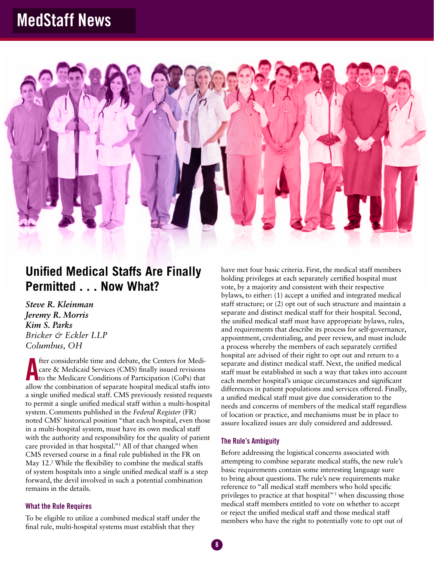

### **Unified Medical Staffs Are Finally Permitted . . . Now What?**

*Steve R. Kleinman Jeremy R. Morris Kim S. Parks Bricker & Eckler LLP Columbus, OH* 

The considerable time and debate, the Centers for Medicare & Medicaid Services (CMS) finally issued revisions<br>to the Medicare Conditions of Participation (CoPs) that<br>allow the combination of concrete boesitel medical steff fter considerable time and debate, the Centers for Medicare & Medicaid Services (CMS) finally issued revisions allow the combination of separate hospital medical staffs into a single unified medical staff. CMS previously resisted requests to permit a single unified medical staff within a multi-hospital system. Comments published in the *Federal Register* (FR) noted CMS' historical position "that each hospital, even those in a multi-hospital system, must have its own medical staff with the authority and responsibility for the quality of patient care provided in that hospital."1 All of that changed when CMS reversed course in a final rule published in the FR on May 12.<sup>2</sup> While the flexibility to combine the medical staffs of system hospitals into a single unified medical staff is a step forward, the devil involved in such a potential combination remains in the details.

#### What the Rule Requires

To be eligible to utilize a combined medical staff under the final rule, multi-hospital systems must establish that they

have met four basic criteria. First, the medical staff members holding privileges at each separately certified hospital must vote, by a majority and consistent with their respective bylaws, to either: (1) accept a unified and integrated medical staff structure; or (2) opt out of such structure and maintain a separate and distinct medical staff for their hospital. Second, the unified medical staff must have appropriate bylaws, rules, and requirements that describe its process for self-governance, appointment, credentialing, and peer review, and must include a process whereby the members of each separately certified hospital are advised of their right to opt out and return to a separate and distinct medical staff. Next, the unified medical staff must be established in such a way that takes into account each member hospital's unique circumstances and significant differences in patient populations and services offered. Finally, a unified medical staff must give due consideration to the needs and concerns of members of the medical staff regardless of location or practice, and mechanisms must be in place to assure localized issues are duly considered and addressed.

#### The Rule's Ambiguity

Before addressing the logistical concerns associated with attempting to combine separate medical staffs, the new rule's basic requirements contain some interesting language sure to bring about questions. The rule's new requirements make reference to "all medical staff members who hold specific privileges to practice at that hospital"<sup>3</sup> when discussing those medical staff members entitled to vote on whether to accept or reject the unified medical staff and those medical staff members who have the right to potentially vote to opt out of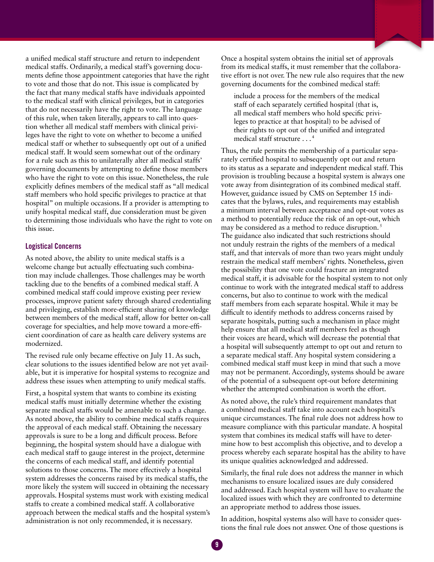a unified medical staff structure and return to independent medical staffs. Ordinarily, a medical staff's governing documents define those appointment categories that have the right to vote and those that do not. This issue is complicated by the fact that many medical staffs have individuals appointed to the medical staff with clinical privileges, but in categories that do not necessarily have the right to vote. The language of this rule, when taken literally, appears to call into question whether all medical staff members with clinical privileges have the right to vote on whether to become a unified medical staff or whether to subsequently opt out of a unified medical staff. It would seem somewhat out of the ordinary for a rule such as this to unilaterally alter all medical staffs' governing documents by attempting to define those members who have the right to vote on this issue. Nonetheless, the rule explicitly defines members of the medical staff as "all medical staff members who hold specific privileges to practice at that hospital" on multiple occasions. If a provider is attempting to unify hospital medical staff, due consideration must be given to determining those individuals who have the right to vote on this issue.

#### Logistical Concerns

As noted above, the ability to unite medical staffs is a welcome change but actually effectuating such combination may include challenges. Those challenges may be worth tackling due to the benefits of a combined medical staff. A combined medical staff could improve existing peer review processes, improve patient safety through shared credentialing and privileging, establish more-efficient sharing of knowledge between members of the medical staff, allow for better on-call coverage for specialties, and help move toward a more-efficient coordination of care as health care delivery systems are modernized.

The revised rule only became effective on July 11. As such, clear solutions to the issues identified below are not yet available, but it is imperative for hospital systems to recognize and address these issues when attempting to unify medical staffs.

First, a hospital system that wants to combine its existing medical staffs must initially determine whether the existing separate medical staffs would be amenable to such a change. As noted above, the ability to combine medical staffs requires the approval of each medical staff. Obtaining the necessary approvals is sure to be a long and difficult process. Before beginning, the hospital system should have a dialogue with each medical staff to gauge interest in the project, determine the concerns of each medical staff, and identify potential solutions to those concerns. The more effectively a hospital system addresses the concerns raised by its medical staffs, the more likely the system will succeed in obtaining the necessary approvals. Hospital systems must work with existing medical staffs to create a combined medical staff. A collaborative approach between the medical staffs and the hospital system's administration is not only recommended, it is necessary.

Once a hospital system obtains the initial set of approvals from its medical staffs, it must remember that the collaborative effort is not over. The new rule also requires that the new governing documents for the combined medical staff:

include a process for the members of the medical staff of each separately certified hospital (that is, all medical staff members who hold specific privileges to practice at that hospital) to be advised of their rights to opt out of the unified and integrated medical staff structure . . . 4

Thus, the rule permits the membership of a particular separately certified hospital to subsequently opt out and return to its status as a separate and independent medical staff. This provision is troubling because a hospital system is always one vote away from disintegration of its combined medical staff. However, guidance issued by CMS on September 15 indicates that the bylaws, rules, and requirements may establish a minimum interval between acceptance and opt-out votes as a method to potentially reduce the risk of an opt-out, which may be considered as a method to reduce disruption.<sup>5</sup> The guidance also indicated that such restrictions should not unduly restrain the rights of the members of a medical staff, and that intervals of more than two years might unduly restrain the medical staff members' rights. Nonetheless, given the possibility that one vote could fracture an integrated medical staff, it is advisable for the hospital system to not only continue to work with the integrated medical staff to address concerns, but also to continue to work with the medical staff members from each separate hospital. While it may be difficult to identify methods to address concerns raised by separate hospitals, putting such a mechanism in place might help ensure that all medical staff members feel as though their voices are heard, which will decrease the potential that a hospital will subsequently attempt to opt out and return to a separate medical staff. Any hospital system considering a combined medical staff must keep in mind that such a move may not be permanent. Accordingly, systems should be aware of the potential of a subsequent opt-out before determining whether the attempted combination is worth the effort.

As noted above, the rule's third requirement mandates that a combined medical staff take into account each hospital's unique circumstances. The final rule does not address how to measure compliance with this particular mandate. A hospital system that combines its medical staffs will have to determine how to best accomplish this objective, and to develop a process whereby each separate hospital has the ability to have its unique qualities acknowledged and addressed.

Similarly, the final rule does not address the manner in which mechanisms to ensure localized issues are duly considered and addressed. Each hospital system will have to evaluate the localized issues with which they are confronted to determine an appropriate method to address those issues.

In addition, hospital systems also will have to consider questions the final rule does not answer. One of those questions is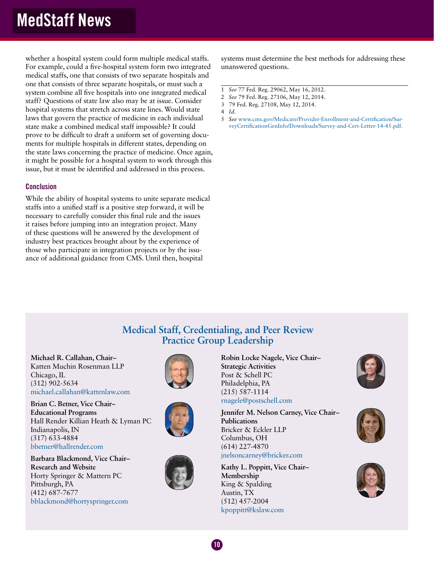whether a hospital system could form multiple medical staffs. For example, could a five-hospital system form two integrated medical staffs, one that consists of two separate hospitals and one that consists of three separate hospitals, or must such a system combine all five hospitals into one integrated medical staff? Questions of state law also may be at issue. Consider hospital systems that stretch across state lines. Would state laws that govern the practice of medicine in each individual state make a combined medical staff impossible? It could prove to be difficult to draft a uniform set of governing documents for multiple hospitals in different states, depending on the state laws concerning the practice of medicine. Once again, it might be possible for a hospital system to work through this issue, but it must be identified and addressed in this process.

#### **Conclusion**

While the ability of hospital systems to unite separate medical staffs into a unified staff is a positive step forward, it will be necessary to carefully consider this final rule and the issues it raises before jumping into an integration project. Many of these questions will be answered by the development of industry best practices brought about by the experience of those who participate in integration projects or by the issuance of additional guidance from CMS. Until then, hospital

systems must determine the best methods for addressing these unanswered questions.

- 1 *See* 77 Fed. Reg. 29062, May 16, 2012.
- 2 *See* 79 Fed. Reg. 27106, May 12, 2014.
- 3 79 Fed. Reg. 27108, May 12, 2014.
- 4 *Id.*
- 5 *See* www.cms.gov/Medicare/Provider-Enrollment-and-Certification/SurveyCertificationGenInfo/Downloads/Survey-and-Cert-Letter-14-45.pdf.

### **Medical Staff, Credentialing, and Peer Review Practice Group Leadership**

 $10<sup>7</sup>$ 

**Michael R. Callahan, Chair–** Katten Muchin Rosenman LLP Chicago, IL (312) 902-5634 michael.callahan@kattenlaw.com

**Brian C. Betner, Vice Chair– Educational Programs** Hall Render Killian Heath & Lyman PC Indianapolis, IN (317) 633-4884 bbetner@hallrender.com

**Barbara Blackmond,** V**ice Chair– Research and Website** Horty Springer & Mattern PC Pittsburgh, PA (412) 687-7677 bblackmond@hortyspringer.com







**Robin Locke Nagele, Vice Chair– Strategic Activities** Post & Schell PC Philadelphia, PA (215) 587-1114 rnagele@postschell.com

**Jennifer M. Nelson Carney, Vice Chair– Publications** Bricker & Eckler LLP Columbus, OH (614) 227-4870 jnelsoncarney@bricker.com

**Kathy L. Poppitt, Vice Chair– Membership** King & Spalding Austin, TX (512) 457-2004 kpoppitt@kslaw.com





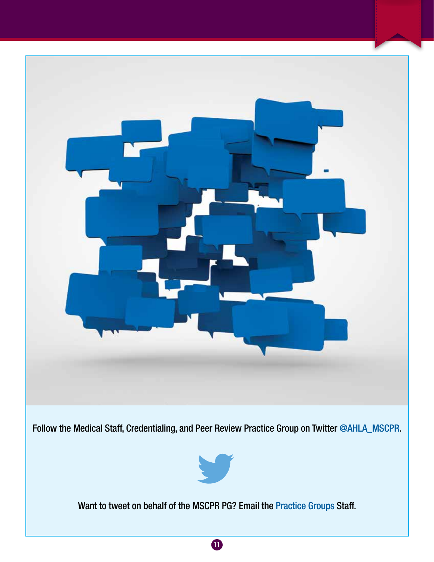